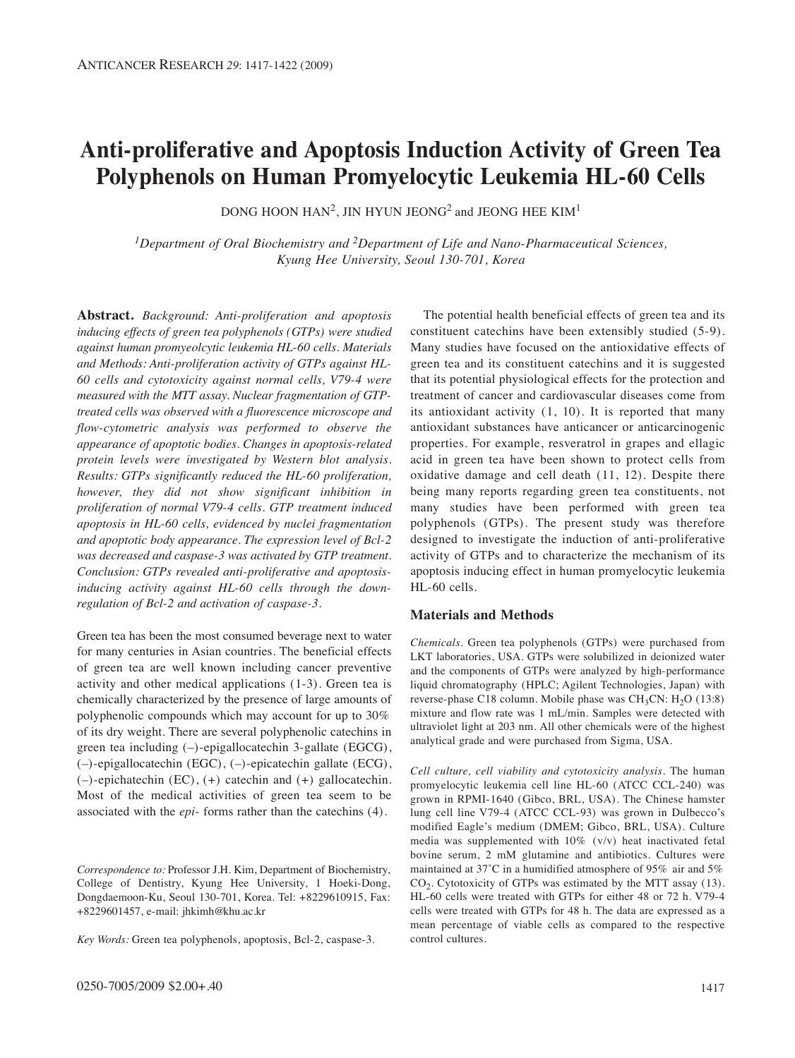# **Anti-proliferative and Apoptosis Induction Activity of Green Tea Polyphenols on Human Promyelocytic Leukemia HL-60 Cells**

DONG HOON HAN<sup>2</sup>, JIN HYUN JEONG<sup>2</sup> and JEONG HEE KIM<sup>1</sup>

*1Department of Oral Biochemistry and 2Department of Life and Nano-Pharmaceutical Sciences, Kyung Hee University, Seoul 130-701, Korea*

**Abstract.** *Background: Anti-proliferation and apoptosis inducing effects of green tea polyphenols (GTPs) were studied against human promyeolcytic leukemia HL-60 cells. Materials and Methods: Anti-proliferation activity of GTPs against HL-60 cells and cytotoxicity against normal cells, V79-4 were measured with the MTT assay. Nuclear fragmentation of GTPtreated cells was observed with a fluorescence microscope and flow-cytometric analysis was performed to observe the appearance of apoptotic bodies. Changes in apoptosis-related protein levels were investigated by Western blot analysis. Results: GTPs significantly reduced the HL-60 proliferation, however, they did not show significant inhibition in proliferation of normal V79-4 cells. GTP treatment induced apoptosis in HL-60 cells, evidenced by nuclei fragmentation and apoptotic body appearance. The expression level of Bcl-2 was decreased and caspase-3 was activated by GTP treatment. Conclusion: GTPs revealed anti-proliferative and apoptosisinducing activity against HL-60 cells through the downregulation of Bcl-2 and activation of caspase-3.*

Green tea has been the most consumed beverage next to water for many centuries in Asian countries. The beneficial effects of green tea are well known including cancer preventive activity and other medical applications (1-3). Green tea is chemically characterized by the presence of large amounts of polyphenolic compounds which may account for up to 30% of its dry weight. There are several polyphenolic catechins in green tea including (–)-epigallocatechin 3-gallate (EGCG), (–)-epigallocatechin (EGC), (–)-epicatechin gallate (ECG), (–)-epichatechin (EC), (+) catechin and (+) gallocatechin. Most of the medical activities of green tea seem to be associated with the *epi*- forms rather than the catechins (4).

*Correspondence to:* Professor J.H. Kim, Department of Biochemistry, College of Dentistry, Kyung Hee University, 1 Hoeki-Dong, Dongdaemoon-Ku, Seoul 130-701, Korea. Tel: +8229610915, Fax: +8229601457, e-mail: jhkimh@khu.ac.kr

*Key Words:* Green tea polyphenols, apoptosis, Bcl-2, caspase-3.

The potential health beneficial effects of green tea and its constituent catechins have been extensibly studied (5-9). Many studies have focused on the antioxidative effects of green tea and its constituent catechins and it is suggested that its potential physiological effects for the protection and treatment of cancer and cardiovascular diseases come from its antioxidant activity (1, 10). It is reported that many antioxidant substances have anticancer or anticarcinogenic properties. For example, resveratrol in grapes and ellagic acid in green tea have been shown to protect cells from oxidative damage and cell death (11, 12). Despite there being many reports regarding green tea constituents, not many studies have been performed with green tea polyphenols (GTPs). The present study was therefore designed to investigate the induction of anti-proliferative activity of GTPs and to characterize the mechanism of its apoptosis inducing effect in human promyelocytic leukemia HL-60 cells.

### **Materials and Methods**

*Chemicals.* Green tea polyphenols (GTPs) were purchased from LKT laboratories, USA. GTPs were solubilized in deionized water and the components of GTPs were analyzed by high-performance liquid chromatography (HPLC; Agilent Technologies, Japan) with reverse-phase C18 column. Mobile phase was  $CH<sub>3</sub>CN: H<sub>2</sub>O$  (13:8) mixture and flow rate was 1 mL/min. Samples were detected with ultraviolet light at 203 nm. All other chemicals were of the highest analytical grade and were purchased from Sigma, USA.

*Cell culture, cell viability and cytotoxicity analysis.* The human promyelocytic leukemia cell line HL-60 (ATCC CCL-240) was grown in RPMI-1640 (Gibco, BRL, USA). The Chinese hamster lung cell line V79-4 (ATCC CCL-93) was grown in Dulbecco's modified Eagle's medium (DMEM; Gibco, BRL, USA). Culture media was supplemented with 10% (v/v) heat inactivated fetal bovine serum, 2 mM glutamine and antibiotics. Cultures were maintained at 37˚C in a humidified atmosphere of 95% air and 5%  $CO<sub>2</sub>$ . Cytotoxicity of GTPs was estimated by the MTT assay (13). HL-60 cells were treated with GTPs for either 48 or 72 h. V79-4 cells were treated with GTPs for 48 h. The data are expressed as a mean percentage of viable cells as compared to the respective control cultures.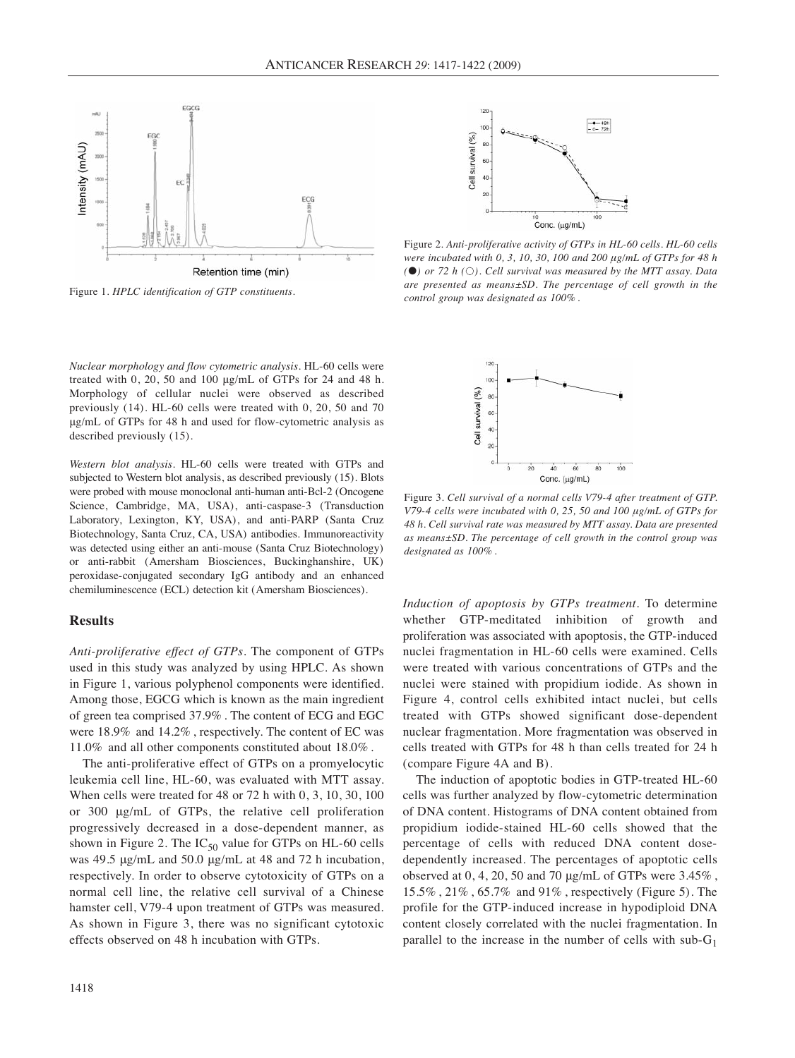

Figure 1. *HPLC identification of GTP constituents.* 

*Nuclear morphology and flow cytometric analysis.* HL-60 cells were treated with 0, 20, 50 and 100 μg/mL of GTPs for 24 and 48 h. Morphology of cellular nuclei were observed as described previously (14). HL-60 cells were treated with 0, 20, 50 and 70 μg/mL of GTPs for 48 h and used for flow-cytometric analysis as described previously (15).

*Western blot analysis.* HL-60 cells were treated with GTPs and subjected to Western blot analysis, as described previously (15). Blots were probed with mouse monoclonal anti-human anti-Bcl-2 (Oncogene Science, Cambridge, MA, USA), anti-caspase-3 (Transduction Laboratory, Lexington, KY, USA), and anti-PARP (Santa Cruz Biotechnology, Santa Cruz, CA, USA) antibodies. Immunoreactivity was detected using either an anti-mouse (Santa Cruz Biotechnology) or anti-rabbit (Amersham Biosciences, Buckinghanshire, UK) peroxidase-conjugated secondary IgG antibody and an enhanced chemiluminescence (ECL) detection kit (Amersham Biosciences).

## **Results**

*Anti-proliferative effect of GTPs.* The component of GTPs used in this study was analyzed by using HPLC. As shown in Figure 1, various polyphenol components were identified. Among those, EGCG which is known as the main ingredient of green tea comprised 37.9% . The content of ECG and EGC were 18.9% and 14.2% , respectively. The content of EC was 11.0% and all other components constituted about 18.0% .

The anti-proliferative effect of GTPs on a promyelocytic leukemia cell line, HL-60, was evaluated with MTT assay. When cells were treated for 48 or 72 h with 0, 3, 10, 30, 100 or 300 μg/mL of GTPs, the relative cell proliferation progressively decreased in a dose-dependent manner, as shown in Figure 2. The  $IC_{50}$  value for GTPs on HL-60 cells was 49.5 μg/mL and 50.0 μg/mL at 48 and 72 h incubation, respectively. In order to observe cytotoxicity of GTPs on a normal cell line, the relative cell survival of a Chinese hamster cell, V79-4 upon treatment of GTPs was measured. As shown in Figure 3, there was no significant cytotoxic effects observed on 48 h incubation with GTPs.



Figure 2. *Anti-proliferative activity of GTPs in HL-60 cells. HL-60 cells were incubated with 0, 3, 10, 30, 100 and 200 μg/mL of GTPs for 48 h (*●*) or 72 h (*●*). Cell survival was measured by the MTT assay. Data are presented as means±SD. The percentage of cell growth in the control group was designated as 100% .*



Figure 3. *Cell survival of a normal cells V79-4 after treatment of GTP. V79-4 cells were incubated with 0, 25, 50 and 100 μg/mL of GTPs for 48 h. Cell survival rate was measured by MTT assay. Data are presented as means±SD. The percentage of cell growth in the control group was designated as 100% .*

*Induction of apoptosis by GTPs treatment.* To determine whether GTP-meditated inhibition of growth and proliferation was associated with apoptosis, the GTP-induced nuclei fragmentation in HL-60 cells were examined. Cells were treated with various concentrations of GTPs and the nuclei were stained with propidium iodide. As shown in Figure 4, control cells exhibited intact nuclei, but cells treated with GTPs showed significant dose-dependent nuclear fragmentation. More fragmentation was observed in cells treated with GTPs for 48 h than cells treated for 24 h (compare Figure 4A and B).

The induction of apoptotic bodies in GTP-treated HL-60 cells was further analyzed by flow-cytometric determination of DNA content. Histograms of DNA content obtained from propidium iodide-stained HL-60 cells showed that the percentage of cells with reduced DNA content dosedependently increased. The percentages of apoptotic cells observed at 0, 4, 20, 50 and 70 μg/mL of GTPs were 3.45% , 15.5% , 21% , 65.7% and 91% , respectively (Figure 5). The profile for the GTP-induced increase in hypodiploid DNA content closely correlated with the nuclei fragmentation. In parallel to the increase in the number of cells with sub- $G_1$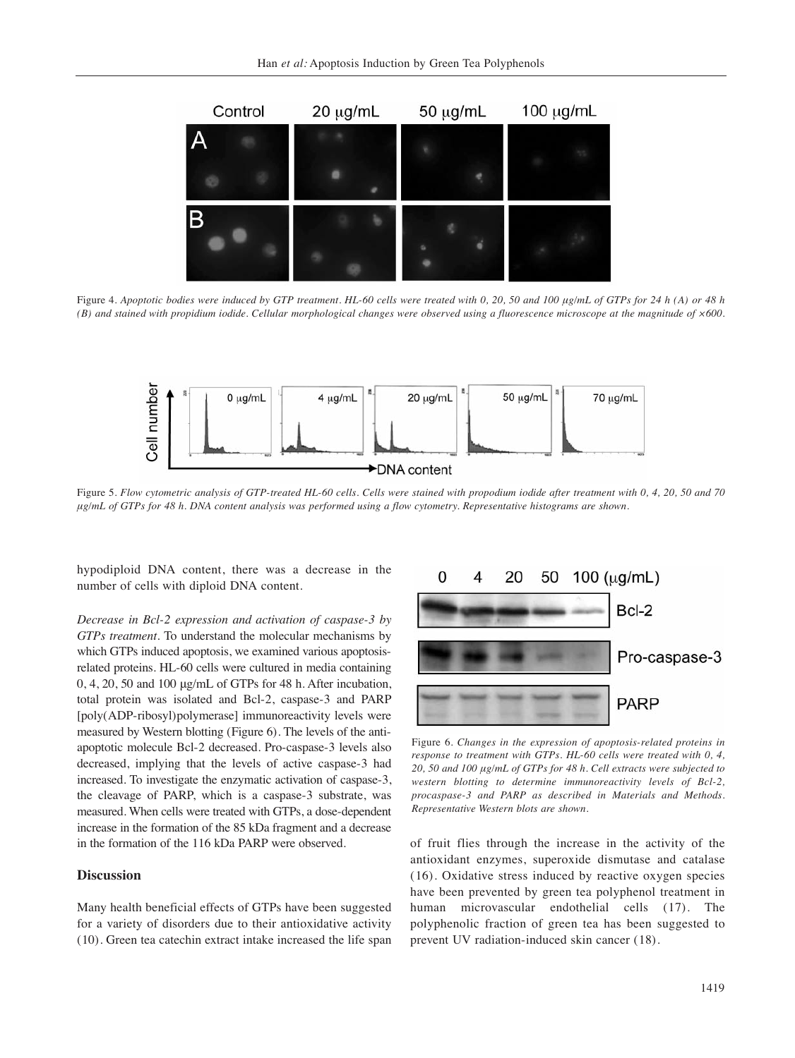

Figure 4. *Apoptotic bodies were induced by GTP treatment. HL-60 cells were treated with 0, 20, 50 and 100 μg/mL of GTPs for 24 h (A) or 48 h (B) and stained with propidium iodide. Cellular morphological changes were observed using a fluorescence microscope at the magnitude of ×600.* 



Figure 5. *Flow cytometric analysis of GTP-treated HL-60 cells. Cells were stained with propodium iodide after treatment with 0, 4, 20, 50 and 70 μg/mL of GTPs for 48 h. DNA content analysis was performed using a flow cytometry. Representative histograms are shown.*

hypodiploid DNA content, there was a decrease in the number of cells with diploid DNA content.

*Decrease in Bcl-2 expression and activation of caspase-3 by GTPs treatment.* To understand the molecular mechanisms by which GTPs induced apoptosis, we examined various apoptosisrelated proteins. HL-60 cells were cultured in media containing 0, 4, 20, 50 and 100 μg/mL of GTPs for 48 h. After incubation, total protein was isolated and Bcl-2, caspase-3 and PARP [poly(ADP-ribosyl)polymerase] immunoreactivity levels were measured by Western blotting (Figure 6). The levels of the antiapoptotic molecule Bcl-2 decreased. Pro-caspase-3 levels also decreased, implying that the levels of active caspase-3 had increased. To investigate the enzymatic activation of caspase-3, the cleavage of PARP, which is a caspase-3 substrate, was measured. When cells were treated with GTPs, a dose-dependent increase in the formation of the 85 kDa fragment and a decrease in the formation of the 116 kDa PARP were observed.

## **Discussion**

Many health beneficial effects of GTPs have been suggested for a variety of disorders due to their antioxidative activity (10). Green tea catechin extract intake increased the life span



Figure 6. *Changes in the expression of apoptosis-related proteins in response to treatment with GTPs. HL-60 cells were treated with 0, 4, 20, 50 and 100 μg/mL of GTPs for 48 h. Cell extracts were subjected to western blotting to determine immunoreactivity levels of Bcl-2, procaspase-3 and PARP as described in Materials and Methods. Representative Western blots are shown.* 

of fruit flies through the increase in the activity of the antioxidant enzymes, superoxide dismutase and catalase (16). Oxidative stress induced by reactive oxygen species have been prevented by green tea polyphenol treatment in human microvascular endothelial cells (17). The polyphenolic fraction of green tea has been suggested to prevent UV radiation-induced skin cancer (18).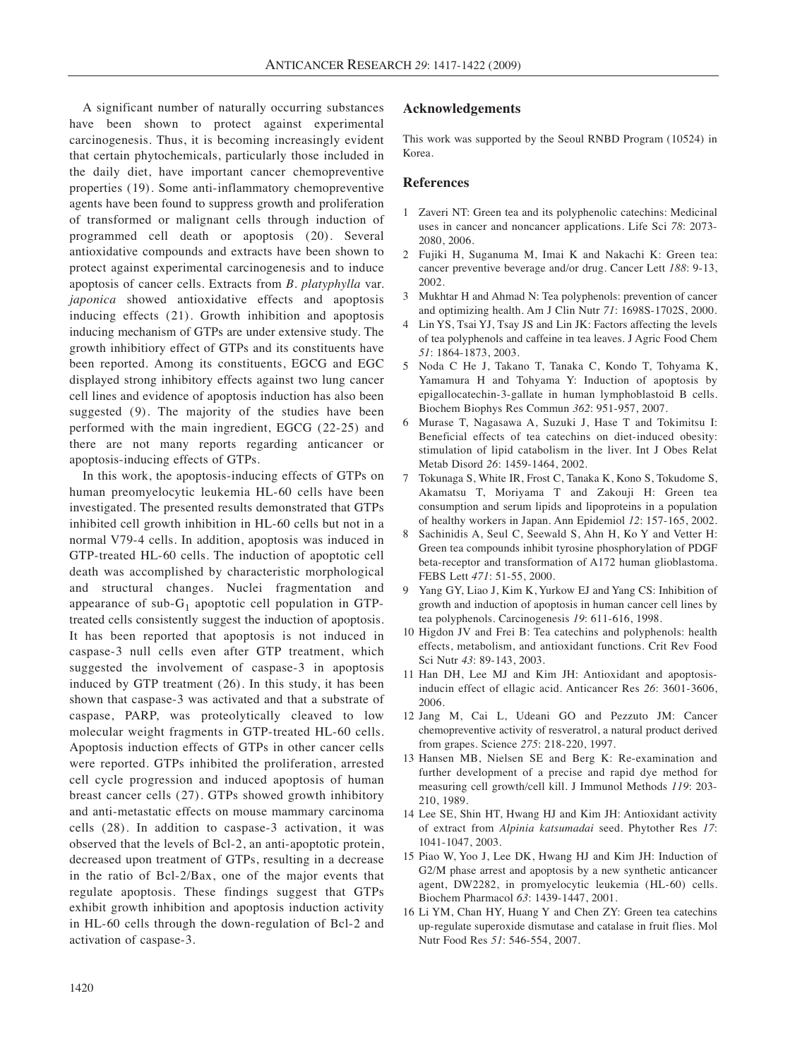A significant number of naturally occurring substances have been shown to protect against experimental carcinogenesis. Thus, it is becoming increasingly evident that certain phytochemicals, particularly those included in the daily diet, have important cancer chemopreventive properties (19). Some anti-inflammatory chemopreventive agents have been found to suppress growth and proliferation of transformed or malignant cells through induction of programmed cell death or apoptosis (20). Several antioxidative compounds and extracts have been shown to protect against experimental carcinogenesis and to induce apoptosis of cancer cells. Extracts from *B. platyphylla* var. *japonica* showed antioxidative effects and apoptosis inducing effects (21). Growth inhibition and apoptosis inducing mechanism of GTPs are under extensive study. The growth inhibitiory effect of GTPs and its constituents have been reported. Among its constituents, EGCG and EGC displayed strong inhibitory effects against two lung cancer cell lines and evidence of apoptosis induction has also been suggested (9). The majority of the studies have been performed with the main ingredient, EGCG (22-25) and there are not many reports regarding anticancer or apoptosis-inducing effects of GTPs.

In this work, the apoptosis-inducing effects of GTPs on human preomyelocytic leukemia HL-60 cells have been investigated. The presented results demonstrated that GTPs inhibited cell growth inhibition in HL-60 cells but not in a normal V79-4 cells. In addition, apoptosis was induced in GTP-treated HL-60 cells. The induction of apoptotic cell death was accomplished by characteristic morphological and structural changes. Nuclei fragmentation and appearance of sub- $G_1$  apoptotic cell population in GTPtreated cells consistently suggest the induction of apoptosis. It has been reported that apoptosis is not induced in caspase-3 null cells even after GTP treatment, which suggested the involvement of caspase-3 in apoptosis induced by GTP treatment (26). In this study, it has been shown that caspase-3 was activated and that a substrate of caspase, PARP, was proteolytically cleaved to low molecular weight fragments in GTP-treated HL-60 cells. Apoptosis induction effects of GTPs in other cancer cells were reported. GTPs inhibited the proliferation, arrested cell cycle progression and induced apoptosis of human breast cancer cells (27). GTPs showed growth inhibitory and anti-metastatic effects on mouse mammary carcinoma cells (28). In addition to caspase-3 activation, it was observed that the levels of Bcl-2, an anti-apoptotic protein, decreased upon treatment of GTPs, resulting in a decrease in the ratio of Bcl-2/Bax, one of the major events that regulate apoptosis. These findings suggest that GTPs exhibit growth inhibition and apoptosis induction activity in HL-60 cells through the down-regulation of Bcl-2 and activation of caspase-3.

#### **Acknowledgements**

This work was supported by the Seoul RNBD Program (10524) in Korea.

#### **References**

- 1 Zaveri NT: Green tea and its polyphenolic catechins: Medicinal uses in cancer and noncancer applications. Life Sci *78*: 2073- 2080, 2006.
- 2 Fujiki H, Suganuma M, Imai K and Nakachi K: Green tea: cancer preventive beverage and/or drug. Cancer Lett *188*: 9-13, 2002.
- 3 Mukhtar H and Ahmad N: Tea polyphenols: prevention of cancer and optimizing health. Am J Clin Nutr *71*: 1698S-1702S, 2000.
- 4 Lin YS, Tsai YJ, Tsay JS and Lin JK: Factors affecting the levels of tea polyphenols and caffeine in tea leaves. J Agric Food Chem *51*: 1864-1873, 2003.
- 5 Noda C He J, Takano T, Tanaka C, Kondo T, Tohyama K, Yamamura H and Tohyama Y: Induction of apoptosis by epigallocatechin-3-gallate in human lymphoblastoid B cells. Biochem Biophys Res Commun *362*: 951-957, 2007.
- 6 Murase T, Nagasawa A, Suzuki J, Hase T and Tokimitsu I: Beneficial effects of tea catechins on diet-induced obesity: stimulation of lipid catabolism in the liver. Int J Obes Relat Metab Disord *26*: 1459-1464, 2002.
- 7 Tokunaga S, White IR, Frost C, Tanaka K, Kono S, Tokudome S, Akamatsu T, Moriyama T and Zakouji H: Green tea consumption and serum lipids and lipoproteins in a population of healthy workers in Japan. Ann Epidemiol *12*: 157-165, 2002.
- 8 Sachinidis A, Seul C, Seewald S, Ahn H, Ko Y and Vetter H: Green tea compounds inhibit tyrosine phosphorylation of PDGF beta-receptor and transformation of A172 human glioblastoma. FEBS Lett *471*: 51-55, 2000.
- 9 Yang GY, Liao J, Kim K, Yurkow EJ and Yang CS: Inhibition of growth and induction of apoptosis in human cancer cell lines by tea polyphenols. Carcinogenesis *19*: 611-616, 1998.
- 10 Higdon JV and Frei B: Tea catechins and polyphenols: health effects, metabolism, and antioxidant functions. Crit Rev Food Sci Nutr *43*: 89-143, 2003.
- 11 Han DH, Lee MJ and Kim JH: Antioxidant and apoptosisinducin effect of ellagic acid. Anticancer Res *26*: 3601-3606, 2006.
- 12 Jang M, Cai L, Udeani GO and Pezzuto JM: Cancer chemopreventive activity of resveratrol, a natural product derived from grapes. Science *275*: 218-220, 1997.
- 13 Hansen MB, Nielsen SE and Berg K: Re-examination and further development of a precise and rapid dye method for measuring cell growth/cell kill. J Immunol Methods *119*: 203- 210, 1989.
- 14 Lee SE, Shin HT, Hwang HJ and Kim JH: Antioxidant activity of extract from *Alpinia katsumadai* seed. Phytother Res *17*: 1041-1047, 2003.
- 15 Piao W, Yoo J, Lee DK, Hwang HJ and Kim JH: Induction of G2/M phase arrest and apoptosis by a new synthetic anticancer agent, DW2282, in promyelocytic leukemia (HL-60) cells. Biochem Pharmacol *63*: 1439-1447, 2001.
- 16 Li YM, Chan HY, Huang Y and Chen ZY: Green tea catechins up-regulate superoxide dismutase and catalase in fruit flies. Mol Nutr Food Res *51*: 546-554, 2007.